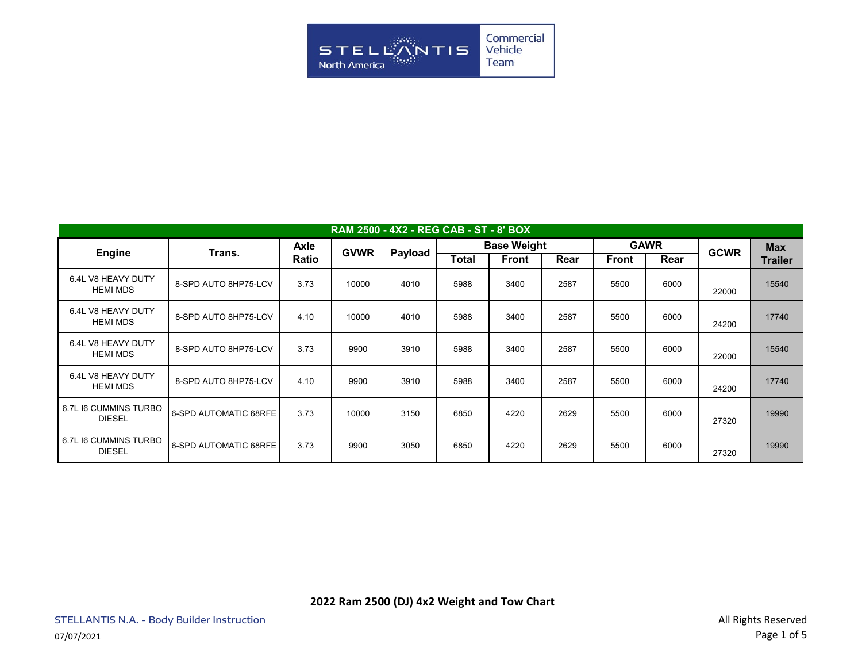

| RAM 2500 - 4X2 - REG CAB - ST - 8' BOX |                              |                      |             |         |                    |              |      |              |      |             |                |
|----------------------------------------|------------------------------|----------------------|-------------|---------|--------------------|--------------|------|--------------|------|-------------|----------------|
| <b>Engine</b>                          | Trans.                       | <b>Axle</b><br>Ratio | <b>GVWR</b> | Payload | <b>Base Weight</b> |              |      | <b>GAWR</b>  |      | <b>GCWR</b> | <b>Max</b>     |
|                                        |                              |                      |             |         | <b>Total</b>       | <b>Front</b> | Rear | <b>Front</b> | Rear |             | <b>Trailer</b> |
| 6.4L V8 HEAVY DUTY<br><b>HEMI MDS</b>  | 8-SPD AUTO 8HP75-LCV         | 3.73                 | 10000       | 4010    | 5988               | 3400         | 2587 | 5500         | 6000 | 22000       | 15540          |
| 6.4L V8 HEAVY DUTY<br><b>HEMI MDS</b>  | 8-SPD AUTO 8HP75-LCV         | 4.10                 | 10000       | 4010    | 5988               | 3400         | 2587 | 5500         | 6000 | 24200       | 17740          |
| 6.4L V8 HEAVY DUTY<br><b>HEMI MDS</b>  | 8-SPD AUTO 8HP75-LCV         | 3.73                 | 9900        | 3910    | 5988               | 3400         | 2587 | 5500         | 6000 | 22000       | 15540          |
| 6.4L V8 HEAVY DUTY<br><b>HEMI MDS</b>  | 8-SPD AUTO 8HP75-LCV         | 4.10                 | 9900        | 3910    | 5988               | 3400         | 2587 | 5500         | 6000 | 24200       | 17740          |
| 6.7L I6 CUMMINS TURBO<br><b>DIESEL</b> | <b>6-SPD AUTOMATIC 68RFE</b> | 3.73                 | 10000       | 3150    | 6850               | 4220         | 2629 | 5500         | 6000 | 27320       | 19990          |
| 6.7L I6 CUMMINS TURBO<br><b>DIESEL</b> | <b>6-SPD AUTOMATIC 68RFE</b> | 3.73                 | 9900        | 3050    | 6850               | 4220         | 2629 | 5500         | 6000 | 27320       | 19990          |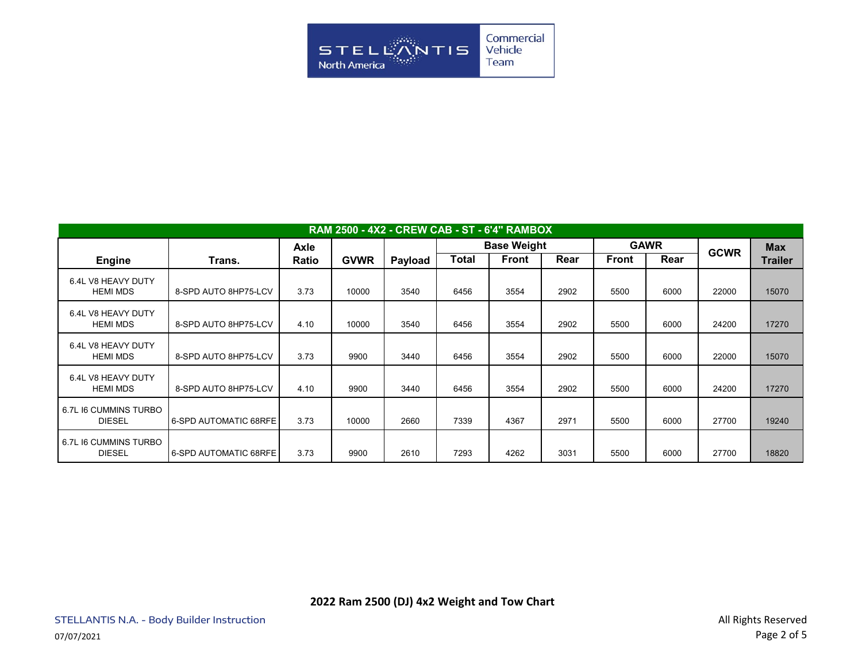

| <b>RAM 2500 - 4X2 - CREW CAB - ST - 6'4" RAMBOX</b> |                       |       |             |         |                    |              |      |              |      |             |                |
|-----------------------------------------------------|-----------------------|-------|-------------|---------|--------------------|--------------|------|--------------|------|-------------|----------------|
|                                                     |                       | Axle  |             |         | <b>Base Weight</b> |              |      | <b>GAWR</b>  |      | <b>GCWR</b> | <b>Max</b>     |
| <b>Engine</b>                                       | Trans.                | Ratio | <b>GVWR</b> | Payload | Total              | <b>Front</b> | Rear | <b>Front</b> | Rear |             | <b>Trailer</b> |
| 6.4L V8 HEAVY DUTY<br><b>HEMI MDS</b>               | 8-SPD AUTO 8HP75-LCV  | 3.73  | 10000       | 3540    | 6456               | 3554         | 2902 | 5500         | 6000 | 22000       | 15070          |
| 6.4L V8 HEAVY DUTY<br><b>HEMI MDS</b>               | 8-SPD AUTO 8HP75-LCV  | 4.10  | 10000       | 3540    | 6456               | 3554         | 2902 | 5500         | 6000 | 24200       | 17270          |
| 6.4L V8 HEAVY DUTY<br><b>HEMI MDS</b>               | 8-SPD AUTO 8HP75-LCV  | 3.73  | 9900        | 3440    | 6456               | 3554         | 2902 | 5500         | 6000 | 22000       | 15070          |
| 6.4L V8 HEAVY DUTY<br><b>HEMI MDS</b>               | 8-SPD AUTO 8HP75-LCV  | 4.10  | 9900        | 3440    | 6456               | 3554         | 2902 | 5500         | 6000 | 24200       | 17270          |
| 6.7L I6 CUMMINS TURBO<br><b>DIESEL</b>              | 6-SPD AUTOMATIC 68RFE | 3.73  | 10000       | 2660    | 7339               | 4367         | 2971 | 5500         | 6000 | 27700       | 19240          |
| 6.7L I6 CUMMINS TURBO<br><b>DIESEL</b>              | 6-SPD AUTOMATIC 68RFE | 3.73  | 9900        | 2610    | 7293               | 4262         | 3031 | 5500         | 6000 | 27700       | 18820          |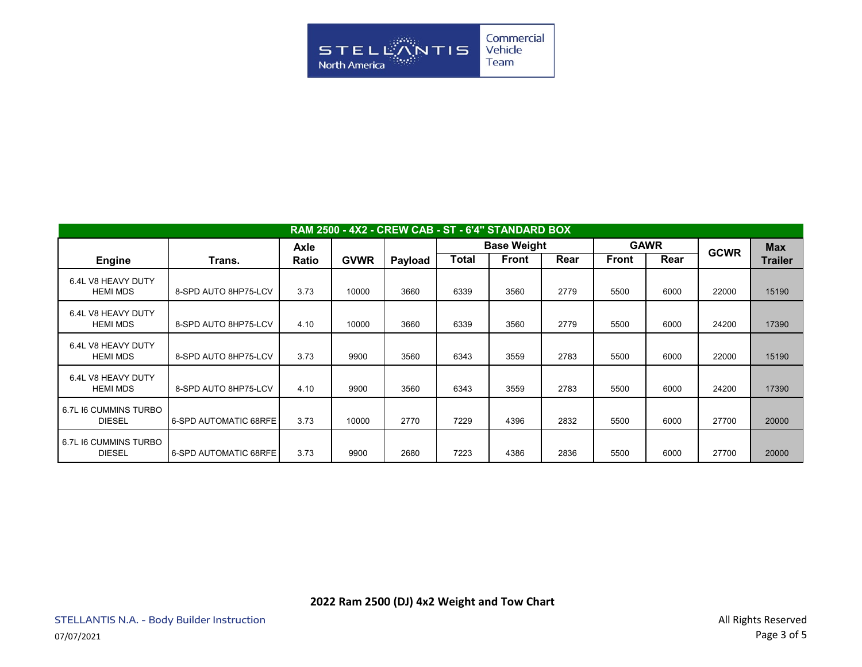

| RAM 2500 - 4X2 - CREW CAB - ST - 6'4" STANDARD BOX |                       |              |             |         |                    |              |      |              |      |             |                |
|----------------------------------------------------|-----------------------|--------------|-------------|---------|--------------------|--------------|------|--------------|------|-------------|----------------|
|                                                    |                       | <b>Axle</b>  |             |         | <b>Base Weight</b> |              |      | <b>GAWR</b>  |      | <b>GCWR</b> | <b>Max</b>     |
| <b>Engine</b>                                      | Trans.                | <b>Ratio</b> | <b>GVWR</b> | Payload | Total              | <b>Front</b> | Rear | <b>Front</b> | Rear |             | <b>Trailer</b> |
| 6.4L V8 HEAVY DUTY<br><b>HEMI MDS</b>              | 8-SPD AUTO 8HP75-LCV  | 3.73         | 10000       | 3660    | 6339               | 3560         | 2779 | 5500         | 6000 | 22000       | 15190          |
| 6.4L V8 HEAVY DUTY<br><b>HEMI MDS</b>              | 8-SPD AUTO 8HP75-LCV  | 4.10         | 10000       | 3660    | 6339               | 3560         | 2779 | 5500         | 6000 | 24200       | 17390          |
| 6.4L V8 HEAVY DUTY<br><b>HEMI MDS</b>              | 8-SPD AUTO 8HP75-LCV  | 3.73         | 9900        | 3560    | 6343               | 3559         | 2783 | 5500         | 6000 | 22000       | 15190          |
| 6.4L V8 HEAVY DUTY<br><b>HEMI MDS</b>              | 8-SPD AUTO 8HP75-LCV  | 4.10         | 9900        | 3560    | 6343               | 3559         | 2783 | 5500         | 6000 | 24200       | 17390          |
| 6.7L I6 CUMMINS TURBO<br><b>DIESEL</b>             | 6-SPD AUTOMATIC 68RFE | 3.73         | 10000       | 2770    | 7229               | 4396         | 2832 | 5500         | 6000 | 27700       | 20000          |
| 6.7L I6 CUMMINS TURBO<br><b>DIESEL</b>             | 6-SPD AUTOMATIC 68RFE | 3.73         | 9900        | 2680    | 7223               | 4386         | 2836 | 5500         | 6000 | 27700       | 20000          |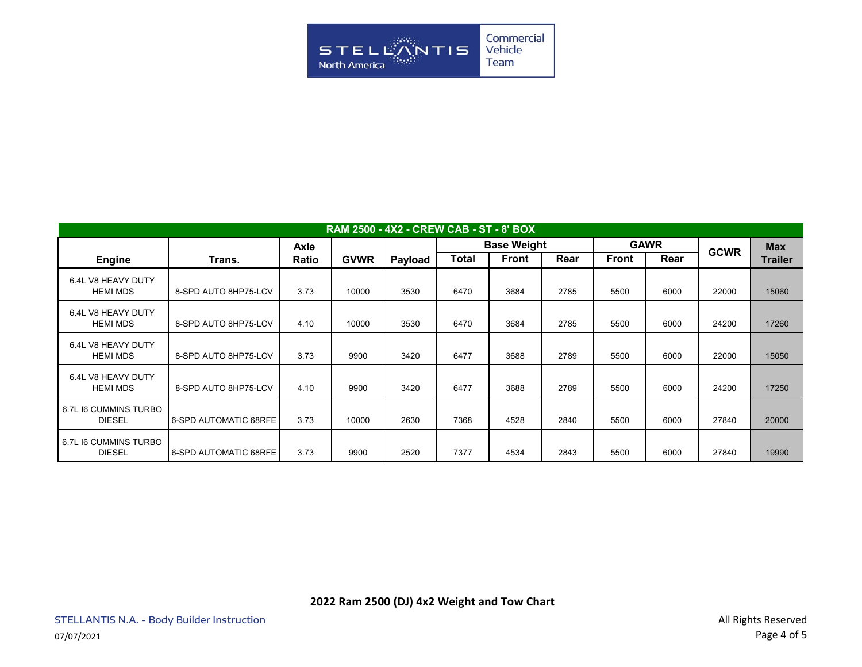

| RAM 2500 - 4X2 - CREW CAB - ST - 8' BOX |                       |             |             |         |                    |       |      |              |      |             |                |
|-----------------------------------------|-----------------------|-------------|-------------|---------|--------------------|-------|------|--------------|------|-------------|----------------|
|                                         |                       | <b>Axle</b> |             |         | <b>Base Weight</b> |       |      | <b>GAWR</b>  |      | <b>GCWR</b> | <b>Max</b>     |
| <b>Engine</b>                           | Trans.                | Ratio       | <b>GVWR</b> | Payload | <b>Total</b>       | Front | Rear | <b>Front</b> | Rear |             | <b>Trailer</b> |
| 6.4L V8 HEAVY DUTY<br><b>HEMI MDS</b>   | 8-SPD AUTO 8HP75-LCV  | 3.73        | 10000       | 3530    | 6470               | 3684  | 2785 | 5500         | 6000 | 22000       | 15060          |
| 6.4L V8 HEAVY DUTY<br><b>HEMI MDS</b>   | 8-SPD AUTO 8HP75-LCV  | 4.10        | 10000       | 3530    | 6470               | 3684  | 2785 | 5500         | 6000 | 24200       | 17260          |
| 6.4L V8 HEAVY DUTY<br><b>HEMI MDS</b>   | 8-SPD AUTO 8HP75-LCV  | 3.73        | 9900        | 3420    | 6477               | 3688  | 2789 | 5500         | 6000 | 22000       | 15050          |
| 6.4L V8 HEAVY DUTY<br><b>HEMI MDS</b>   | 8-SPD AUTO 8HP75-LCV  | 4.10        | 9900        | 3420    | 6477               | 3688  | 2789 | 5500         | 6000 | 24200       | 17250          |
| 6.7L I6 CUMMINS TURBO<br><b>DIESEL</b>  | 6-SPD AUTOMATIC 68RFE | 3.73        | 10000       | 2630    | 7368               | 4528  | 2840 | 5500         | 6000 | 27840       | 20000          |
| 6.7L I6 CUMMINS TURBO<br><b>DIESEL</b>  | 6-SPD AUTOMATIC 68RFE | 3.73        | 9900        | 2520    | 7377               | 4534  | 2843 | 5500         | 6000 | 27840       | 19990          |